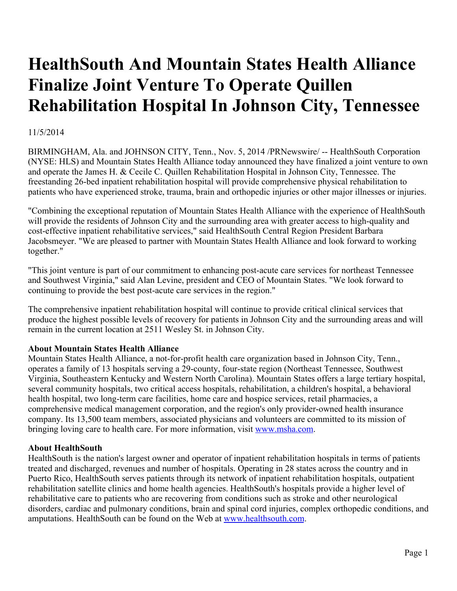# **HealthSouth And Mountain States Health Alliance Finalize Joint Venture To Operate Quillen Rehabilitation Hospital In Johnson City, Tennessee**

# 11/5/2014

BIRMINGHAM, Ala. and JOHNSON CITY, Tenn., Nov. 5, 2014 /PRNewswire/ -- HealthSouth Corporation (NYSE: HLS) and Mountain States Health Alliance today announced they have finalized a joint venture to own and operate the James H. & Cecile C. Quillen Rehabilitation Hospital in Johnson City, Tennessee. The freestanding 26-bed inpatient rehabilitation hospital will provide comprehensive physical rehabilitation to patients who have experienced stroke, trauma, brain and orthopedic injuries or other major illnesses or injuries.

"Combining the exceptional reputation of Mountain States Health Alliance with the experience of HealthSouth will provide the residents of Johnson City and the surrounding area with greater access to high-quality and cost-effective inpatient rehabilitative services," said HealthSouth Central Region President Barbara Jacobsmeyer. "We are pleased to partner with Mountain States Health Alliance and look forward to working together."

"This joint venture is part of our commitment to enhancing post-acute care services for northeast Tennessee and Southwest Virginia," said Alan Levine, president and CEO of Mountain States. "We look forward to continuing to provide the best post-acute care services in the region."

The comprehensive inpatient rehabilitation hospital will continue to provide critical clinical services that produce the highest possible levels of recovery for patients in Johnson City and the surrounding areas and will remain in the current location at 2511 Wesley St. in Johnson City.

# **About Mountain States Health Alliance**

Mountain States Health Alliance, a not-for-profit health care organization based in Johnson City, Tenn., operates a family of 13 hospitals serving a 29-county, four-state region (Northeast Tennessee, Southwest Virginia, Southeastern Kentucky and Western North Carolina). Mountain States offers a large tertiary hospital, several community hospitals, two critical access hospitals, rehabilitation, a children's hospital, a behavioral health hospital, two long-term care facilities, home care and hospice services, retail pharmacies, a comprehensive medical management corporation, and the region's only provider-owned health insurance company. Its 13,500 team members, associated physicians and volunteers are committed to its mission of bringing loving care to health care. For more information, visit [www.msha.com](http://www.msha.com/).

## **About HealthSouth**

HealthSouth is the nation's largest owner and operator of inpatient rehabilitation hospitals in terms of patients treated and discharged, revenues and number of hospitals. Operating in 28 states across the country and in Puerto Rico, HealthSouth serves patients through its network of inpatient rehabilitation hospitals, outpatient rehabilitation satellite clinics and home health agencies. HealthSouth's hospitals provide a higher level of rehabilitative care to patients who are recovering from conditions such as stroke and other neurological disorders, cardiac and pulmonary conditions, brain and spinal cord injuries, complex orthopedic conditions, and amputations. HealthSouth can be found on the Web at [www.healthsouth.com.](http://www.healthsouth.com/)